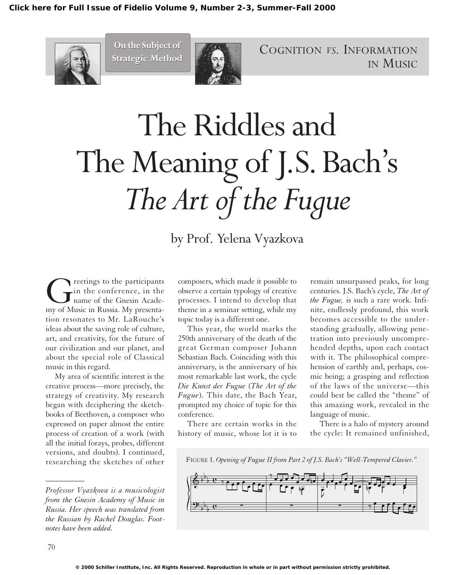

**On the Subject of On the Subject of Strategic Method Strategic Method**



COGNITION *VS.* INFORMATION IN MUSIC

## The Riddles and The Meaning of J.S.Bach's *The Art of the Fugue*

by Prof. Yelena Vyazkova

Greetings to the participants<br>in the conference, in the<br>my of Music in Russia. My presentain the conference, in the name of the Gnesin Acadetion resonates to Mr. LaRouche's ideas about the saving role of culture, art, and creativity, for the future of our civilization and our planet, and about the special role of Classical music in this regard.

My area of scientific interest is the creative process—more precisely, the strategy of creativity. My research began with deciphering the sketchbooks of Beethoven, a composer who expressed on paper almost the entire process of creation of a work (with all the initial forays, probes, different versions, and doubts). I continued, researching the sketches of other

composers, which made it possible to observe a certain typology of creative processes. I intend to develop that theme in a seminar setting, while my topic today is a different one.

This year, the world marks the 250th anniversary of the death of the great German composer Johann Sebastian Bach. Coinciding with this anniversary, is the anniversary of his most remarkable last work, the cycle *Die Kunst der Fugue* (*The Art of the Fugue*). This date, the Bach Year, prompted my choice of topic for this conference.

There are certain works in the history of music, whose lot it is to

remain unsurpassed peaks, for long centuries. J.S. Bach's cycle, *The Art of the Fugue,* is such a rare work. Infinite, endlessly profound, this work becomes accessible to the understanding gradually, allowing penetration into previously uncomprehended depths, upon each contact with it. The philosophical comprehension of earthly and, perhaps, cosmic being; a grasping and reflection of the laws of the universe—this could best be called the "theme" of this amazing work, revealed in the language of music.

There is a halo of mystery around the cycle: It remained unfinished,





*\_\_\_\_\_\_\_\_\_\_*

*Professor Vyazkova is a musicologist from the Gnesin Academy of Music in Russia. Her speech was translated from the Russian by Rachel Douglas. Footnotes have been added.*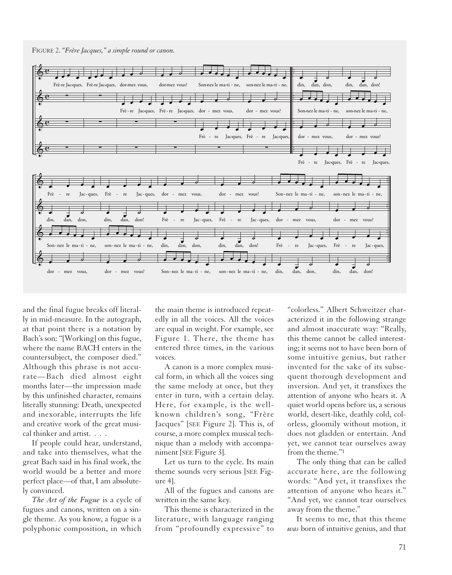



and the final fugue breaks off literally in mid-measure. In the autograph, at that point there is a notation by Bach's son: "[Working] on this fugue, where the name BACH enters in the countersubject, the composer died." Although this phrase is not accurate—Bach died almost eight months later—the impression made by this unfinished character, remains literally stunning: Death, unexpected and inexorable, interrupts the life and creative work of the great musical thinker and artist. . . .

If people could hear, understand, and take into themselves, what the great Bach said in his final work, the world would be a better and more perfect place—of that, I am absolutely convinced.

*The Art of the Fugue* is a cycle of fugues and canons, written on a single theme. As you know, a fugue is a polyphonic composition, in which

the main theme is introduced repeatedly in all the voices. All the voices are equal in weight. For example, see Figure 1. There, the theme has entered three times, in the various voices.

A canon is a more complex musical form, in which all the voices sing the same melody at once, but they enter in turn, with a certain delay. Here, for example, is the wellknown children's song, "Frère Jacques" [SEE Figure 2]. This is, of course, a more complex musical technique than a melody with accompaniment [SEE Figure 3].

Let us turn to the cycle. Its main theme sounds very serious [SEE Figure 4].

All of the fugues and canons are written in the same key.

This theme is characterized in the literature, with language ranging from "profoundly expressive" to

"colorless." Albert Schweitzer characterized it in the following strange and almost inaccurate way: "Really, this theme cannot be called interesting; it seems not to have been born of some intuitive genius, but rather invented for the sake of its subsequent thorough development and inversion. And yet, it transfixes the attention of anyone who hears it. A quiet world opens before us, a serious world, desert-like, deathly cold, colorless, gloomily without motion, it does not gladden or entertain. And yet, we cannot tear ourselves away from the theme."1

The only thing that can be called accurate here, are the following words: "And yet, it transfixes the attention of anyone who hears it." "And yet, we cannot tear ourselves away from the theme."

It seems to me, that this theme *was* born of intuitive genius, and that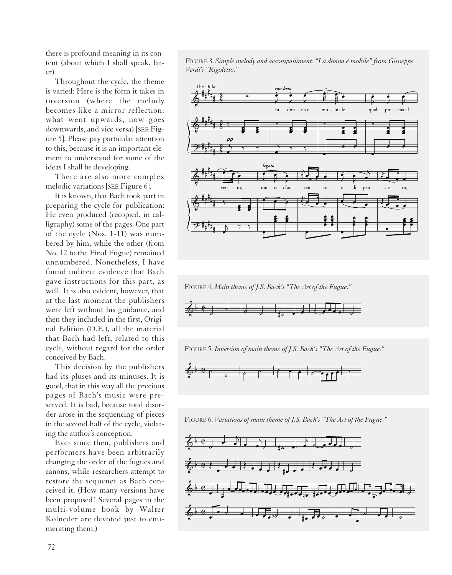there is profound meaning in its content (about which I shall speak, later).

Throughout the cycle, the theme is varied: Here is the form it takes in inversion (where the melody becomes like a mirror reflection: what went upwards, now goes downwards, and vice versa) [SEE Figure 5]. Please pay particular attention to this, because it is an important element to understand for some of the ideas I shall be developing.

There are also more complex melodic variations [SEE Figure 6].

It is known, that Bach took part in preparing the cycle for publication: He even produced (recopied, in calligraphy) some of the pages. One part of the cycle (Nos. 1-11) was numbered by him, while the other (from No. 12 to the Final Fugue) remained unnumbered. Nonetheless, I have found indirect evidence that Bach gave instructions for this part, as well. It is also evident, however, that at the last moment the publishers were left without his guidance, and then they included in the first, Original Edition (O.E.), all the material that Bach had left, related to this cycle, without regard for the order conceived by Bach.

This decision by the publishers had its pluses and its minuses. It is good, that in this way all the precious pages of Bach's music were preserved. It is bad, because total disorder arose in the sequencing of pieces in the second half of the cycle, violating the author's conception.

Ever since then, publishers and performers have been arbitrarily changing the order of the fugues and canons, while researchers attempt to restore the sequence as Bach conceived it. (How many versions have been proposed! Several pages in the multi-volume book by Walter Kolneder are devoted just to enumerating them.)

FIGURE 3. *Simple melody and accompaniment: "La donna è mobile" from Giuseppe Verdi's "Rigoletto."*



FIGURE 4. *Main theme of J.S. Bach's "The Art of the Fugue."*



FIGURE 5. *Inversion of main theme of J.S. Bach's "The Art of the Fugue."*



FIGURE 6. *Variations of main theme of J.S. Bach's "The Art of the Fugue."*

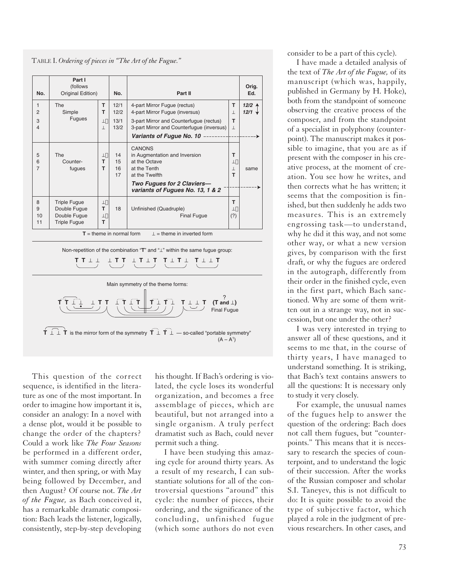TABLE I. *Ordering of pieces in "The Art of the Fugue."*

| No.                                                                                                                                                                                     | Part I<br>(follows<br>Original Edition)                                    |                                     | No.                          | Part II                                                                                                                                                                                 |                              | Orig.<br>Ed.               |  |  |  |
|-----------------------------------------------------------------------------------------------------------------------------------------------------------------------------------------|----------------------------------------------------------------------------|-------------------------------------|------------------------------|-----------------------------------------------------------------------------------------------------------------------------------------------------------------------------------------|------------------------------|----------------------------|--|--|--|
| $\mathbf{1}$<br>$\overline{2}$<br>3<br>$\overline{4}$                                                                                                                                   | The<br>Simple<br><b>Fugues</b>                                             | т<br>т<br>$_{\perp\Box}$<br>$\perp$ | 12/1<br>12/2<br>13/1<br>13/2 | 4-part Mirror Fugue (rectus)<br>4-part Mirror Fugue (inversus)<br>3-part Mirror and Counterfugue (rectus)<br>3-part Mirror and Counterfugue (inversus)<br>Variants of Fugue No. 10 ---- | т<br>$\perp$<br>т<br>$\perp$ | 12/24<br>$12/1$ $\sqrt{ }$ |  |  |  |
| 5<br>6<br>$\overline{7}$                                                                                                                                                                | <b>The</b><br>Counter-<br>fugues                                           | $\perp$<br>T.<br>т                  | 14<br>15<br>16<br>17         | <b>CANONS</b><br>in Augmentation and Inversion<br>at the Octave<br>at the Tenth<br>at the Twelfth<br>Two Fugues for 2 Claviers-<br>variants of Fugues No. 13, 1 & 2                     | т<br>$\perp$<br>$\perp$<br>т | same                       |  |  |  |
| 8<br>9<br>10<br>11                                                                                                                                                                      | <b>Triple Fugue</b><br>Double Fugue<br>Double Fugue<br><b>Triple Fugue</b> | $\perp$<br>т<br>$\perp$<br>T.       | 18                           | Unfinished (Quadruple)<br><b>Final Fugue</b>                                                                                                                                            | т<br>工门<br>(?)               |                            |  |  |  |
| $\perp$ = theme in inverted form<br>$T =$ theme in normal form                                                                                                                          |                                                                            |                                     |                              |                                                                                                                                                                                         |                              |                            |  |  |  |
| Non-repetition of the combination "T" and "L" within the same fugue group:<br>TTII<br>⊥ T T<br>$\perp$ T $\perp$ T<br>$T$ $\perp$ $T$ $\perp$<br>$\textbf{T} \perp \perp \textbf{T}$    |                                                                            |                                     |                              |                                                                                                                                                                                         |                              |                            |  |  |  |
| Main symmetry of the theme forms:<br>TITI TIIT.<br>(T and $\perp$ )<br>$\perp$ T T<br><b>Final Fugue</b>                                                                                |                                                                            |                                     |                              |                                                                                                                                                                                         |                              |                            |  |  |  |
| $\dot{\mathsf{T}}$ $\perp$ $\dot{\mathsf{T}}$ is the mirror form of the symmetry $\dot{\mathsf{T}}$ $\perp$ $\dot{\mathsf{T}}$ $\perp$ $-$ so-called "portable symmetry"<br>$(A - A^1)$ |                                                                            |                                     |                              |                                                                                                                                                                                         |                              |                            |  |  |  |

This question of the correct sequence, is identified in the literature as one of the most important. In order to imagine how important it is, consider an analogy: In a novel with a dense plot, would it be possible to change the order of the chapters? Could a work like *The Four Seasons* be performed in a different order, with summer coming directly after winter, and then spring, or with May being followed by December, and then August? Of course not. *The Art of the Fugue,* as Bach conceived it, has a remarkable dramatic composition: Bach leads the listener, logically, consistently, step-by-step developing

his thought. If Bach's ordering is violated, the cycle loses its wonderful organization, and becomes a free assemblage of pieces, which are beautiful, but not arranged into a single organism. A truly perfect dramatist such as Bach, could never permit such a thing.

I have been studying this amazing cycle for around thirty years. As a result of my research, I can substantiate solutions for all of the controversial questions "around" this cycle: the number of pieces, their ordering, and the significance of the concluding, unfinished fugue (which some authors do not even

consider to be a part of this cycle).

I have made a detailed analysis of the text of *The Art of the Fugue,* of its manuscript (which was, happily, published in Germany by H. Hoke), both from the standpoint of someone observing the creative process of the composer, and from the standpoint of a specialist in polyphony (counterpoint). The manuscript makes it possible to imagine, that you are as if present with the composer in his creative process, at the moment of creation. You see how he writes, and then corrects what he has written; it seems that the composition is finished, but then suddenly he adds two measures. This is an extremely engrossing task—to understand, why he did it this way, and not some other way, or what a new version gives, by comparison with the first draft, or why the fugues are ordered in the autograph, differently from their order in the finished cycle, even in the first part, which Bach sanctioned. Why are some of them written out in a strange way, not in succession, but one under the other?

I was very interested in trying to answer all of these questions, and it seems to me that, in the course of thirty years, I have managed to understand something. It is striking, that Bach's text contains answers to all the questions: It is necessary only to study it very closely.

For example, the unusual names of the fugues help to answer the question of the ordering: Bach does not call them fugues, but "counterpoints." This means that it is necessary to research the species of counterpoint, and to understand the logic of their succession. After the works of the Russian composer and scholar S.I. Taneyev, this is not difficult to do: It is quite possible to avoid the type of subjective factor, which played a role in the judgment of previous researchers. In other cases, and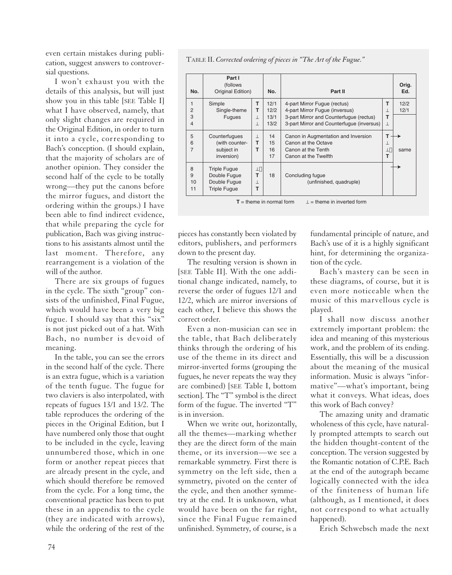even certain mistakes during publication, suggest answers to controversial questions.

I won't exhaust you with the details of this analysis, but will just show you in this table [SEE Table I] what I have observed, namely, that only slight changes are required in the Original Edition, in order to turn it into a cycle, corresponding to Bach's conception. (I should explain, that the majority of scholars are of another opinion. They consider the second half of the cycle to be totally wrong—they put the canons before the mirror fugues, and distort the ordering within the groups.) I have been able to find indirect evidence, that while preparing the cycle for publication, Bach was giving instructions to his assistants almost until the last moment. Therefore, any rearrangement is a violation of the will of the author.

There are six groups of fugues in the cycle. The sixth "group" consists of the unfinished, Final Fugue, which would have been a very big fugue. I should say that this "six" is not just picked out of a hat. With Bach, no number is devoid of meaning.

In the table, you can see the errors in the second half of the cycle. There is an extra fugue, which is a variation of the tenth fugue. The fugue for two claviers is also interpolated, with repeats of fugues 13/1 and 13/2. The table reproduces the ordering of the pieces in the Original Edition, but I have numbered only those that ought to be included in the cycle, leaving unnumbered those, which in one form or another repeat pieces that are already present in the cycle, and which should therefore be removed from the cycle. For a long time, the conventional practice has been to put these in an appendix to the cycle (they are indicated with arrows), while the ordering of the rest of the

TABLE II. *Corrected ordering of pieces in "The Art of the Fugue."*

| No.                      | Part I<br>(follows)<br>Original Edition)                                   |                              | No.                          | Part II                                                                                                                                                |              | Orig.<br>Ed. |
|--------------------------|----------------------------------------------------------------------------|------------------------------|------------------------------|--------------------------------------------------------------------------------------------------------------------------------------------------------|--------------|--------------|
| $\overline{2}$<br>3<br>4 | Simple<br>Single-theme<br><b>Fugues</b>                                    | т<br>т<br>$\perp$<br>$\perp$ | 12/1<br>12/2<br>13/1<br>13/2 | 4-part Mirror Fugue (rectus)<br>4-part Mirror Fugue (inversus)<br>3-part Mirror and Counterfugue (rectus)<br>3-part Mirror and Counterfugue (inversus) | т<br>т<br>⊥  | 12/2<br>12/1 |
| 5<br>6<br>$\overline{7}$ | Counterfugues<br>(with counter-<br>subject in<br>inversion)                | J.<br>т<br>т                 | 14<br>15<br>16<br>17         | Canon in Augmentation and Inversion<br>Canon at the Octave<br>Canon at the Tenth<br>Canon at the Twelfth                                               | т<br>TЦ<br>т | same         |
| 8<br>9<br>10<br>11       | <b>Triple Fugue</b><br>Double Fugue<br>Double Fugue<br><b>Triple Fugue</b> | 山<br>T<br>丄<br>т             | 18                           | Concluding fugue<br>(unfinished, quadruple)                                                                                                            |              |              |

 $T =$  theme in normal form  $L =$  theme in inverted form

pieces has constantly been violated by editors, publishers, and performers down to the present day.

The resulting version is shown in [SEE Table II]. With the one additional change indicated, namely, to reverse the order of fugues 12/1 and 12/2, which are mirror inversions of each other, I believe this shows the correct order.

Even a non-musician can see in the table, that Bach deliberately thinks through the ordering of his use of the theme in its direct and mirror-inverted forms (grouping the fugues, he never repeats the way they are combined) [SEE Table I, bottom section]. The "T" symbol is the direct form of the fugue. The inverted "T" is in inversion.

When we write out, horizontally, all the themes—marking whether they are the direct form of the main theme, or its inversion—we see a remarkable symmetry. First there is symmetry on the left side, then a symmetry, pivoted on the center of the cycle, and then another symmetry at the end. It is unknown, what would have been on the far right, since the Final Fugue remained unfinished. Symmetry, of course, is a fundamental principle of nature, and Bach's use of it is a highly significant hint, for determining the organization of the cycle.

Bach's mastery can be seen in these diagrams, of course, but it is even more noticeable when the music of this marvellous cycle is played.

I shall now discuss another extremely important problem: the idea and meaning of this mysterious work, and the problem of its ending. Essentially, this will be a discussion about the meaning of the musical information. Music is always "informative"—what's important, being what it conveys. What ideas, does this work of Bach convey?

The amazing unity and dramatic wholeness of this cycle, have naturally prompted attempts to search out the hidden thought-content of the conception. The version suggested by the Romantic notation of C.P.E. Bach at the end of the autograph became logically connected with the idea of the finiteness of human life (although, as I mentioned, it does not correspond to what actually happened).

Erich Schwebsch made the next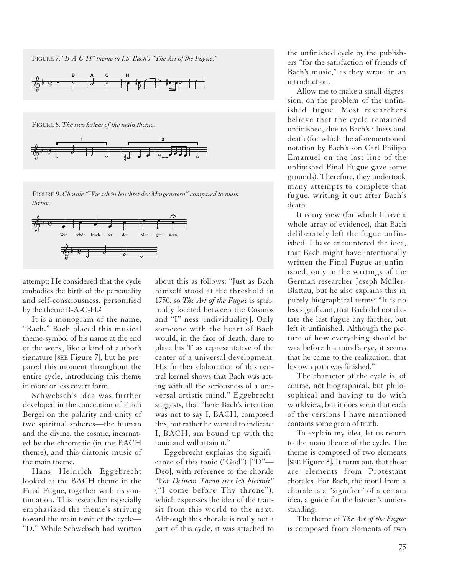FIGURE 7. *"B-A-C-H" theme in J.S. Bach's "The Art of the Fugue."*



FIGURE 8. *The two halves of the main theme.*



FIGURE 9. *Chorale "Wie schön leuchtet der Morgenstern" compared to main theme.*



attempt: He considered that the cycle embodies the birth of the personality and self-consciousness, personified by the theme B-A-C-H.2

It is a monogram of the name, "Bach." Bach placed this musical theme-symbol of his name at the end of the work, like a kind of author's signature [SEE Figure 7], but he prepared this moment throughout the entire cycle, introducing this theme in more or less covert form.

Schwebsch's idea was further developed in the conception of Erich Bergel on the polarity and unity of two spiritual spheres—the human and the divine, the cosmic, incarnated by the chromatic (in the BACH theme), and this diatonic music of the main theme.

Hans Heinrich Eggebrecht looked at the BACH theme in the Final Fugue, together with its continuation. This researcher especially emphasized the theme's striving toward the main tonic of the cycle— "D." While Schwebsch had written

about this as follows: "Just as Bach himself stood at the threshold in 1750, so *The Art of the Fugue* is spiritually located between the Cosmos and "I"-ness [individuality]. Only someone with the heart of Bach would, in the face of death, dare to place his 'I' as representative of the center of a universal development. His further elaboration of this central kernel shows that Bach was acting with all the seriousness of a universal artistic mind." Eggebrecht suggests, that "here Bach's intention was not to say I, BACH, composed this, but rather he wanted to indicate: I, BACH, am bound up with the tonic and will attain it."

Eggebrecht explains the significance of this tonic ("God") ["D"— Deo], with reference to the chorale *"Vor Deinem Thron tret ich hiermit"* ("I come before Thy throne"), which expresses the idea of the transit from this world to the next. Although this chorale is really not a part of this cycle, it was attached to the unfinished cycle by the publishers "for the satisfaction of friends of Bach's music," as they wrote in an introduction.

Allow me to make a small digression, on the problem of the unfinished fugue. Most researchers believe that the cycle remained unfinished, due to Bach's illness and death (for which the aforementioned notation by Bach's son Carl Philipp Emanuel on the last line of the unfinished Final Fugue gave some grounds). Therefore, they undertook many attempts to complete that fugue, writing it out after Bach's death.

It is my view (for which I have a whole array of evidence), that Bach deliberately left the fugue unfinished. I have encountered the idea, that Bach might have intentionally written the Final Fugue as unfinished, only in the writings of the German researcher Joseph Müller-Blattau, but he also explains this in purely biographical terms: "It is no less significant, that Bach did not dictate the last fugue any farther, but left it unfinished. Although the picture of how everything should be was before his mind's eye, it seems that he came to the realization, that his own path was finished."

The character of the cycle is, of course, not biographical, but philosophical and having to do with worldview, but it does seem that each of the versions I have mentioned contains some grain of truth.

To explain my idea, let us return to the main theme of the cycle. The theme is composed of two elements [SEE Figure 8]. It turns out, that these are elements from Protestant chorales. For Bach, the motif from a chorale is a "signifier" of a certain idea, a guide for the listener's understanding.

The theme of *The Art of the Fugue* is composed from elements of two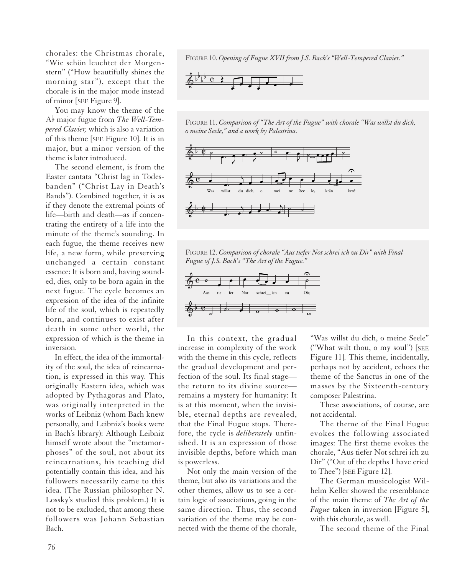chorales: the Christmas chorale, "Wie schön leuchtet der Morgenstern" ("How beautifully shines the morning star"), except that the chorale is in the major mode instead of minor [SEE Figure 9].

You may know the theme of the A<sub>p</sub> major fugue from *The Well-Tempered Clavier,* which is also a variation of this theme [SEE Figure 10]. It is in major, but a minor version of the theme is later introduced.

The second element, is from the Easter cantata "Christ lag in Todesbanden" ("Christ Lay in Death's Bands"). Combined together, it is as if they denote the extremal points of life—birth and death—as if concentrating the entirety of a life into the minute of the theme's sounding. In each fugue, the theme receives new life, a new form, while preserving unchanged a certain constant essence: It is born and, having sounded, dies, only to be born again in the next fugue. The cycle becomes an expression of the idea of the infinite life of the soul, which is repeatedly born, and continues to exist after death in some other world, the expression of which is the theme in inversion.

In effect, the idea of the immortality of the soul, the idea of reincarnation, is expressed in this way. This originally Eastern idea, which was adopted by Pythagoras and Plato, was originally interpreted in the works of Leibniz (whom Bach knew personally, and Leibniz's books were in Bach's library): Although Leibniz himself wrote about the "metamorphoses" of the soul, not about its reincarnations, his teaching did potentially contain this idea, and his followers necessarily came to this idea. (The Russian philosopher N. Lossky's studied this problem.) It is not to be excluded, that among these followers was Johann Sebastian Bach.

FIGURE 10. *Opening of Fugue XVII from J.S. Bach's "Well-Tempered Clavier."*



FIGURE 11. *Comparison of "The Art of the Fugue" with chorale "Was willst du dich, o meine Seele," and a work by Palestrina.*



FIGURE 12. *Comparison of chorale "Aus tiefer Not schrei ich zu Dir" with Final Fugue of J.S. Bach's "The Art of the Fugue."*



In this context, the gradual increase in complexity of the work with the theme in this cycle, reflects the gradual development and perfection of the soul. Its final stage the return to its divine source remains a mystery for humanity: It is at this moment, when the invisible, eternal depths are revealed, that the Final Fugue stops. Therefore, the cycle is *deliberately* unfinished. It is an expression of those invisible depths, before which man is powerless.

Not only the main version of the theme, but also its variations and the other themes, allow us to see a certain logic of associations, going in the same direction. Thus, the second variation of the theme may be connected with the theme of the chorale, "Was willst du dich, o meine Seele" ("What wilt thou, o my soul") [SEE Figure 11]. This theme, incidentally, perhaps not by accident, echoes the theme of the Sanctus in one of the masses by the Sixteenth-century composer Palestrina.

These associations, of course, are not accidental.

The theme of the Final Fugue evokes the following associated images: The first theme evokes the chorale, "Aus tiefer Not schrei ich zu Dir" ("Out of the depths I have cried to Thee") [SEE Figure 12].

The German musicologist Wilhelm Keller showed the resemblance of the main theme of *The Art of the Fugue* taken in inversion [Figure 5], with this chorale, as well.

The second theme of the Final